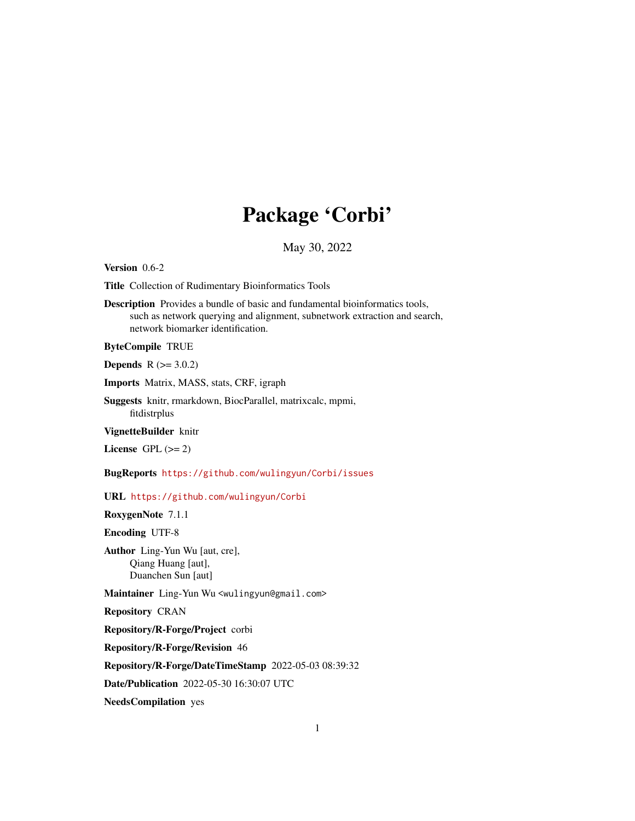## Package 'Corbi'

## May 30, 2022

<span id="page-0-0"></span>Version 0.6-2

Title Collection of Rudimentary Bioinformatics Tools

Description Provides a bundle of basic and fundamental bioinformatics tools, such as network querying and alignment, subnetwork extraction and search, network biomarker identification.

#### ByteCompile TRUE

**Depends**  $R$  ( $>= 3.0.2$ )

Imports Matrix, MASS, stats, CRF, igraph

Suggests knitr, rmarkdown, BiocParallel, matrixcalc, mpmi, fitdistrplus

VignetteBuilder knitr

License GPL  $(>= 2)$ 

BugReports <https://github.com/wulingyun/Corbi/issues>

URL <https://github.com/wulingyun/Corbi>

RoxygenNote 7.1.1

Encoding UTF-8

Author Ling-Yun Wu [aut, cre], Qiang Huang [aut], Duanchen Sun [aut]

Maintainer Ling-Yun Wu <wulingyun@gmail.com>

Repository CRAN

Repository/R-Forge/Project corbi

Repository/R-Forge/Revision 46

Repository/R-Forge/DateTimeStamp 2022-05-03 08:39:32

Date/Publication 2022-05-30 16:30:07 UTC

NeedsCompilation yes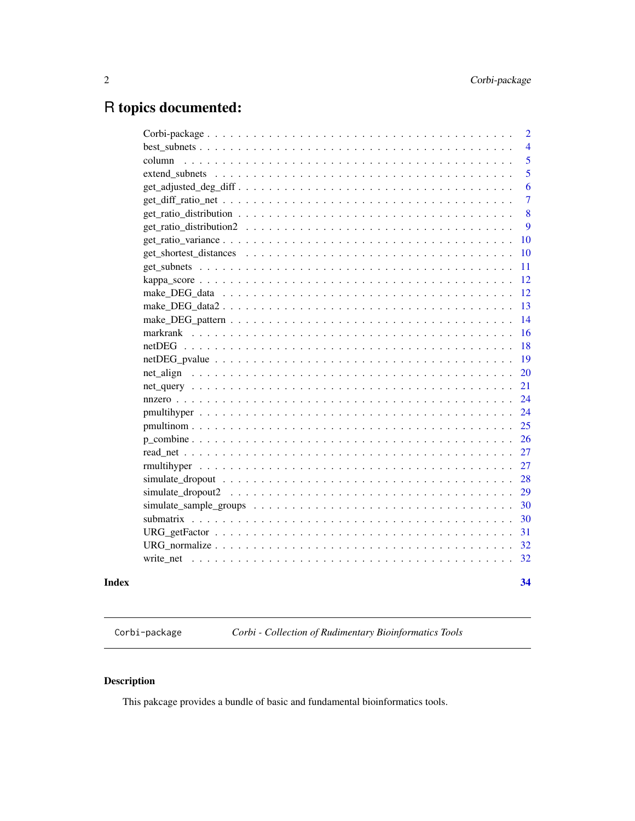## <span id="page-1-0"></span>R topics documented:

|       | 18 |
|-------|----|
|       | 19 |
|       | 20 |
|       | 21 |
|       | 24 |
|       | 24 |
|       | 25 |
|       | 26 |
|       | 27 |
|       | 27 |
|       | 28 |
|       | 29 |
|       | 30 |
|       | 30 |
|       | 31 |
|       | 32 |
|       | 32 |
| Index | 34 |
|       |    |

Corbi-package *Corbi - Collection of Rudimentary Bioinformatics Tools*

## Description

This pakcage provides a bundle of basic and fundamental bioinformatics tools.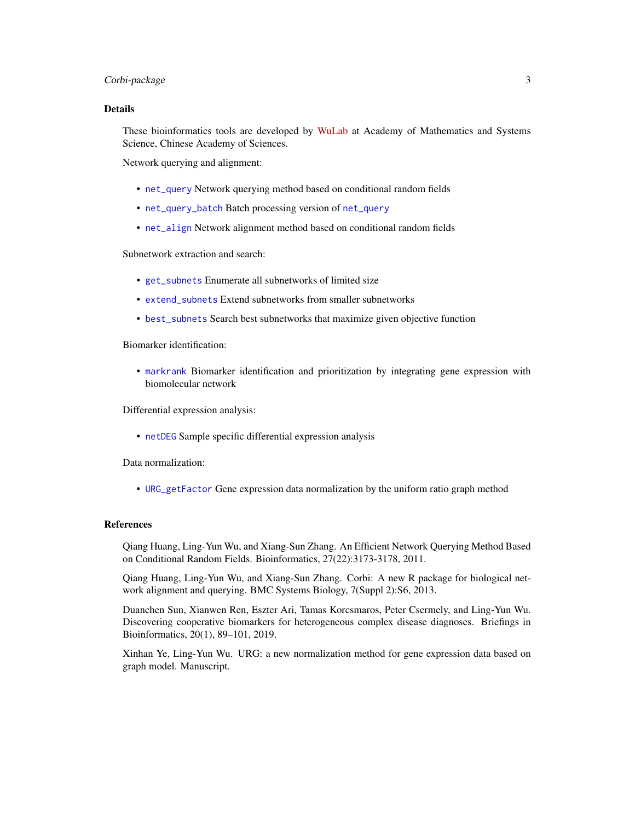## <span id="page-2-0"></span>Corbi-package 3

#### Details

These bioinformatics tools are developed by [WuLab](http://wulab.ac.cn) at Academy of Mathematics and Systems Science, Chinese Academy of Sciences.

Network querying and alignment:

- [net\\_query](#page-20-1) Network querying method based on conditional random fields
- [net\\_query\\_batch](#page-20-2) Batch processing version of [net\\_query](#page-20-1)
- [net\\_align](#page-19-1) Network alignment method based on conditional random fields

Subnetwork extraction and search:

- [get\\_subnets](#page-10-1) Enumerate all subnetworks of limited size
- [extend\\_subnets](#page-4-1) Extend subnetworks from smaller subnetworks
- [best\\_subnets](#page-3-1) Search best subnetworks that maximize given objective function

Biomarker identification:

• [markrank](#page-15-1) Biomarker identification and prioritization by integrating gene expression with biomolecular network

Differential expression analysis:

• [netDEG](#page-17-1) Sample specific differential expression analysis

Data normalization:

• [URG\\_getFactor](#page-30-1) Gene expression data normalization by the uniform ratio graph method

## References

Qiang Huang, Ling-Yun Wu, and Xiang-Sun Zhang. An Efficient Network Querying Method Based on Conditional Random Fields. Bioinformatics, 27(22):3173-3178, 2011.

Qiang Huang, Ling-Yun Wu, and Xiang-Sun Zhang. Corbi: A new R package for biological network alignment and querying. BMC Systems Biology, 7(Suppl 2):S6, 2013.

Duanchen Sun, Xianwen Ren, Eszter Ari, Tamas Korcsmaros, Peter Csermely, and Ling-Yun Wu. Discovering cooperative biomarkers for heterogeneous complex disease diagnoses. Briefings in Bioinformatics, 20(1), 89–101, 2019.

Xinhan Ye, Ling-Yun Wu. URG: a new normalization method for gene expression data based on graph model. Manuscript.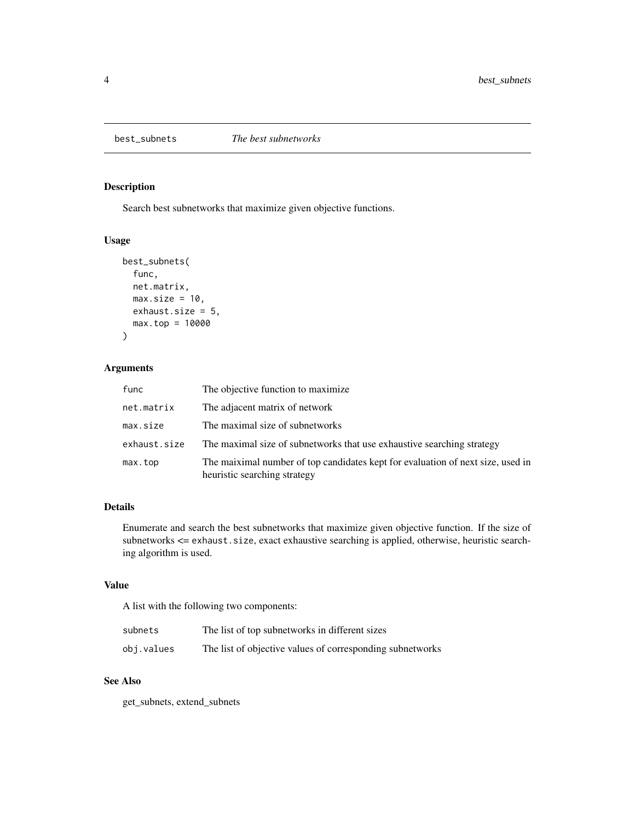<span id="page-3-1"></span><span id="page-3-0"></span>

## Description

Search best subnetworks that maximize given objective functions.

## Usage

```
best_subnets(
  func,
 net.matrix,
 max.size = 10,
 exhaust.size = 5,
 max.top = 10000
)
```
## Arguments

| func         | The objective function to maximize                                                                              |
|--------------|-----------------------------------------------------------------------------------------------------------------|
| net.matrix   | The adjacent matrix of network                                                                                  |
| max.size     | The maximal size of subnetworks                                                                                 |
| exhaust.size | The maximal size of subnetworks that use exhaustive searching strategy                                          |
| max.top      | The maiximal number of top candidates kept for evaluation of next size, used in<br>heuristic searching strategy |

## Details

Enumerate and search the best subnetworks that maximize given objective function. If the size of subnetworks <= exhaust.size, exact exhaustive searching is applied, otherwise, heuristic searching algorithm is used.

## Value

A list with the following two components:

| subnets    | The list of top subnetworks in different sizes            |
|------------|-----------------------------------------------------------|
| obj.values | The list of objective values of corresponding subnetworks |

## See Also

get\_subnets, extend\_subnets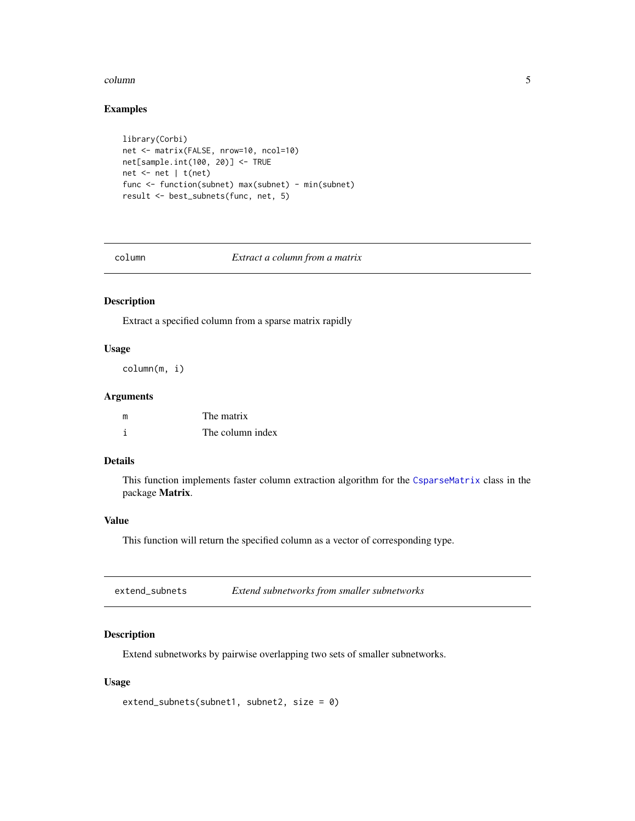#### <span id="page-4-0"></span>column 5

## Examples

```
library(Corbi)
net <- matrix(FALSE, nrow=10, ncol=10)
net[sample.int(100, 20)] <- TRUE
net <- net | t(net)
func <- function(subnet) max(subnet) - min(subnet)
result <- best_subnets(func, net, 5)
```
column *Extract a column from a matrix*

## Description

Extract a specified column from a sparse matrix rapidly

## Usage

column(m, i)

#### Arguments

| m | The matrix       |
|---|------------------|
|   | The column index |

## Details

This function implements faster column extraction algorithm for the [CsparseMatrix](#page-0-0) class in the package Matrix.

#### Value

This function will return the specified column as a vector of corresponding type.

<span id="page-4-1"></span>

| extend_subnets | Extend subnetworks from smaller subnetworks |
|----------------|---------------------------------------------|
|----------------|---------------------------------------------|

### Description

Extend subnetworks by pairwise overlapping two sets of smaller subnetworks.

## Usage

```
extend_subnets(subnet1, subnet2, size = 0)
```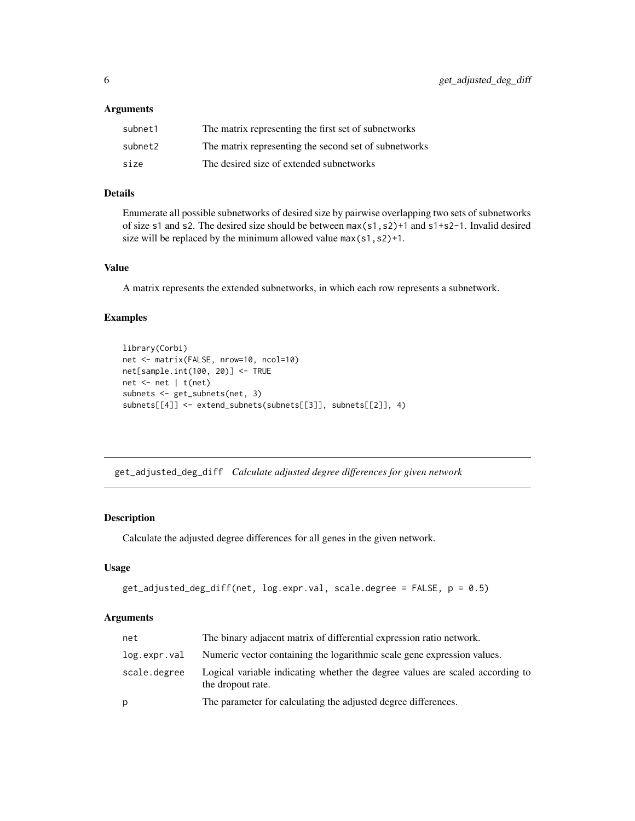#### <span id="page-5-0"></span>**Arguments**

| subnet1 | The matrix representing the first set of subnetworks  |
|---------|-------------------------------------------------------|
| subnet2 | The matrix representing the second set of subnetworks |
| size    | The desired size of extended subnetworks              |

## Details

Enumerate all possible subnetworks of desired size by pairwise overlapping two sets of subnetworks of size s1 and s2. The desired size should be between max(s1,s2)+1 and s1+s2-1. Invalid desired size will be replaced by the minimum allowed value max(s1,s2)+1.

## Value

A matrix represents the extended subnetworks, in which each row represents a subnetwork.

#### Examples

```
library(Corbi)
net <- matrix(FALSE, nrow=10, ncol=10)
net[sample.int(100, 20)] <- TRUE
net <- net | t(net)
subnets <- get_subnets(net, 3)
subnets[[4]] <- extend_subnets(subnets[[3]], subnets[[2]], 4)
```
get\_adjusted\_deg\_diff *Calculate adjusted degree differences for given network*

## Description

Calculate the adjusted degree differences for all genes in the given network.

#### Usage

```
get_adjusted_deg_diff(net, log.expr.val, scale.degree = FALSE, p = 0.5)
```
#### Arguments

| net          | The binary adjacent matrix of differential expression ratio network.                               |
|--------------|----------------------------------------------------------------------------------------------------|
| log.expr.val | Numeric vector containing the logarithmic scale gene expression values.                            |
| scale.degree | Logical variable indicating whether the degree values are scaled according to<br>the dropout rate. |
| р            | The parameter for calculating the adjusted degree differences.                                     |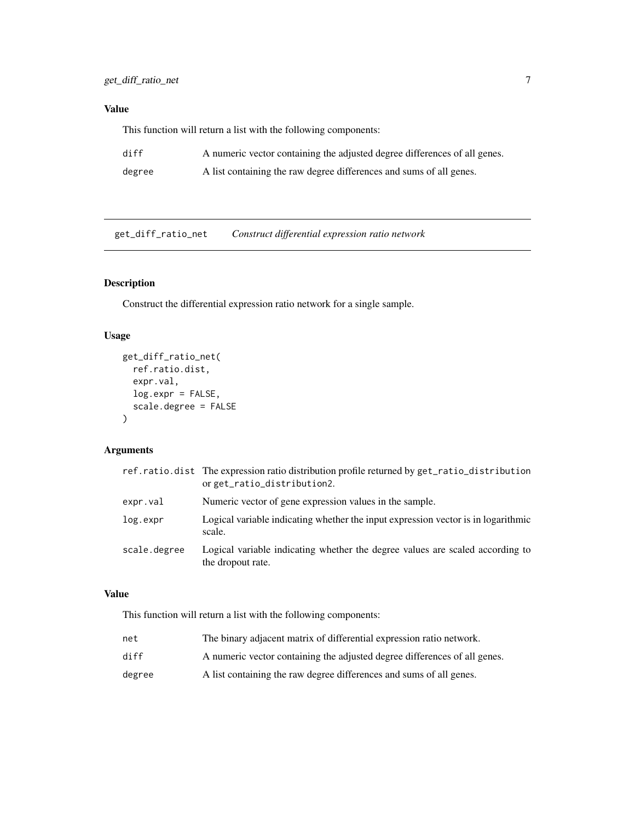## <span id="page-6-0"></span>Value

This function will return a list with the following components:

| diff   | A numeric vector containing the adjusted degree differences of all genes. |
|--------|---------------------------------------------------------------------------|
| degree | A list containing the raw degree differences and sums of all genes.       |

get\_diff\_ratio\_net *Construct differential expression ratio network*

## Description

Construct the differential expression ratio network for a single sample.

## Usage

```
get_diff_ratio_net(
  ref.ratio.dist,
  expr.val,
  log.expr = FALSE,
  scale.degree = FALSE
)
```
## Arguments

|              | ref.ratio.dist The expression ratio distribution profile returned by get_ratio_distribution<br>orget_ratio_distribution2. |
|--------------|---------------------------------------------------------------------------------------------------------------------------|
| expr.val     | Numeric vector of gene expression values in the sample.                                                                   |
| log.expr     | Logical variable indicating whether the input expression vector is in logarithmic<br>scale.                               |
| scale.degree | Logical variable indicating whether the degree values are scaled according to<br>the dropout rate.                        |

#### Value

| net    | The binary adjacent matrix of differential expression ratio network.      |
|--------|---------------------------------------------------------------------------|
| diff   | A numeric vector containing the adjusted degree differences of all genes. |
| degree | A list containing the raw degree differences and sums of all genes.       |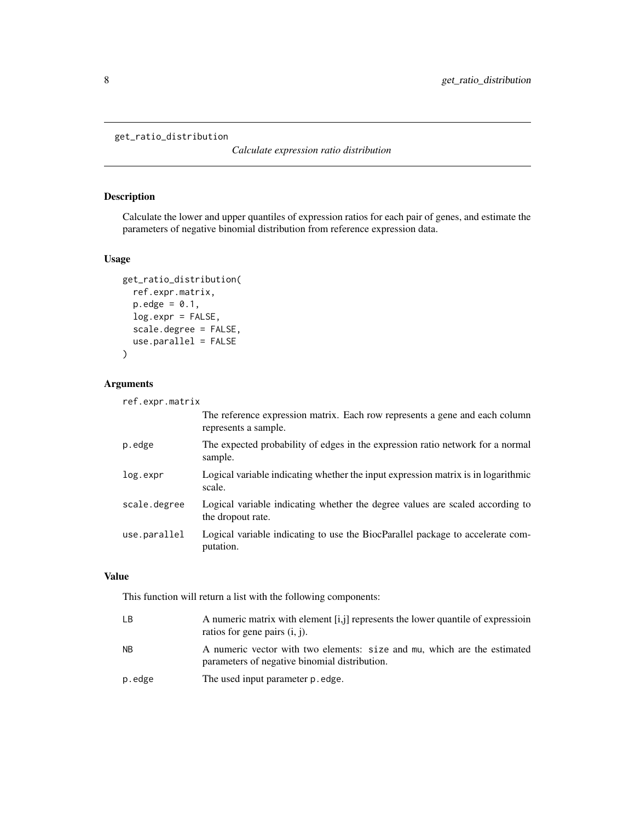```
get_ratio_distribution
```
*Calculate expression ratio distribution*

## Description

Calculate the lower and upper quantiles of expression ratios for each pair of genes, and estimate the parameters of negative binomial distribution from reference expression data.

## Usage

```
get_ratio_distribution(
  ref.expr.matrix,
 p. edge = 0.1,
  log.expr = FALSE,
  scale.degree = FALSE,
  use.parallel = FALSE
)
```
## Arguments

| ref.expr.matrix                                                                                     |
|-----------------------------------------------------------------------------------------------------|
| The reference expression matrix. Each row represents a gene and each column<br>represents a sample. |
| The expected probability of edges in the expression ratio network for a normal<br>sample.           |
| Logical variable indicating whether the input expression matrix is in logarithmic<br>scale.         |
| Logical variable indicating whether the degree values are scaled according to<br>the dropout rate.  |
| Logical variable indicating to use the BiocParallel package to accelerate com-<br>putation.         |
|                                                                                                     |

## Value

| LВ     | A numeric matrix with element $[i, j]$ represents the lower quantile of expression<br>ratios for gene pairs $(i, j)$ .    |
|--------|---------------------------------------------------------------------------------------------------------------------------|
| NB.    | A numeric vector with two elements: size and mu, which are the estimated<br>parameters of negative binomial distribution. |
| p.edge | The used input parameter p. edge.                                                                                         |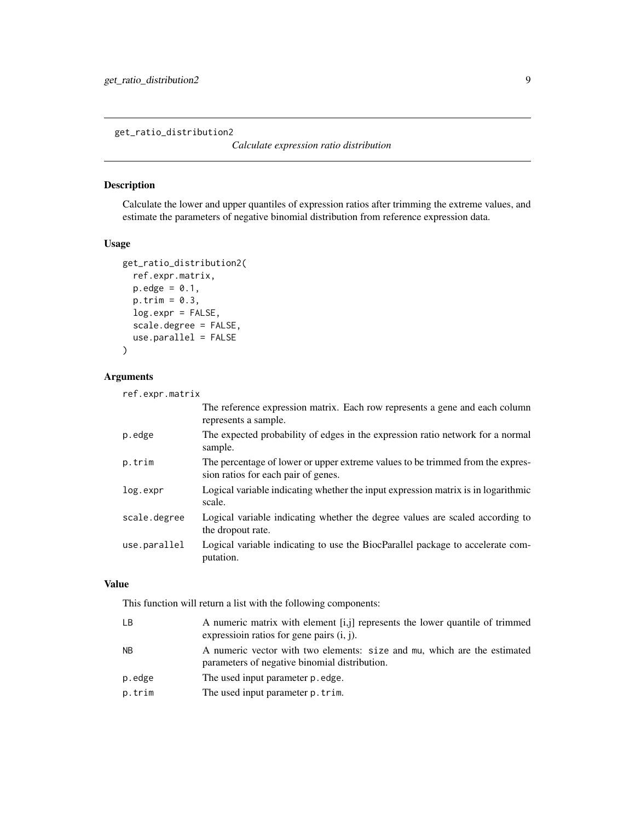<span id="page-8-0"></span>get\_ratio\_distribution2

#### Description

Calculate the lower and upper quantiles of expression ratios after trimming the extreme values, and estimate the parameters of negative binomial distribution from reference expression data.

#### Usage

```
get_ratio_distribution2(
  ref.expr.matrix,
 p. edge = 0.1,
 p.trim = 0.3,
  log.expr = FALSE,
  scale.degree = FALSE,
 use.parallel = FALSE
)
```
### Arguments

```
ref.expr.matrix
                 The reference expression matrix. Each row represents a gene and each column
                 represents a sample.
p.edge The expected probability of edges in the expression ratio network for a normal
                 sample.
p.trim The percentage of lower or upper extreme values to be trimmed from the expres-
                 sion ratios for each pair of genes.
log.expr Logical variable indicating whether the input expression matrix is in logarithmic
                 scale.
scale.degree Logical variable indicating whether the degree values are scaled according to
                 the dropout rate.
use.parallel Logical variable indicating to use the BiocParallel package to accelerate com-
                 putation.
```
## Value

| LВ     | A numeric matrix with element [i,j] represents the lower quantile of trimmed<br>expression ratios for gene pairs $(i, j)$ . |
|--------|-----------------------------------------------------------------------------------------------------------------------------|
| NB.    | A numeric vector with two elements: size and mu, which are the estimated<br>parameters of negative binomial distribution.   |
| p.edge | The used input parameter p. edge.                                                                                           |
| p.trim | The used input parameter p. trim.                                                                                           |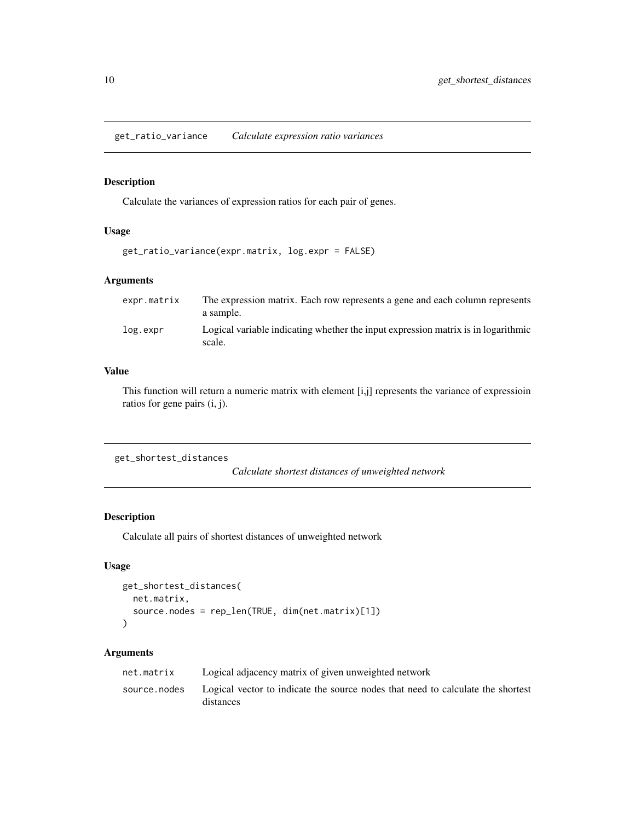<span id="page-9-0"></span>get\_ratio\_variance *Calculate expression ratio variances*

## Description

Calculate the variances of expression ratios for each pair of genes.

#### Usage

```
get_ratio_variance(expr.matrix, log.expr = FALSE)
```
#### Arguments

| expr.matrix | The expression matrix. Each row represents a gene and each column represents<br>a sample.   |
|-------------|---------------------------------------------------------------------------------------------|
| log.expr    | Logical variable indicating whether the input expression matrix is in logarithmic<br>scale. |

## Value

This function will return a numeric matrix with element [i,j] represents the variance of expressioin ratios for gene pairs (i, j).

get\_shortest\_distances

*Calculate shortest distances of unweighted network*

#### Description

Calculate all pairs of shortest distances of unweighted network

## Usage

```
get_shortest_distances(
 net.matrix,
  source.nodes = rep_len(TRUE, dim(net.matrix)[1])
\lambda
```
## Arguments

| net.matrix   | Logical adjacency matrix of given unweighted network                                         |
|--------------|----------------------------------------------------------------------------------------------|
| source.nodes | Logical vector to indicate the source nodes that need to calculate the shortest<br>distances |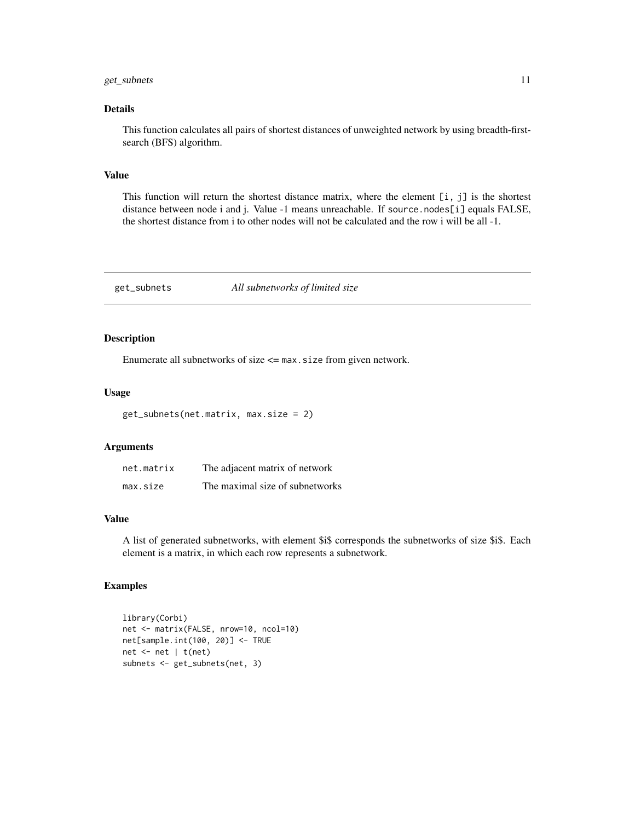## <span id="page-10-0"></span>get\_subnets 11

### Details

This function calculates all pairs of shortest distances of unweighted network by using breadth-firstsearch (BFS) algorithm.

#### Value

This function will return the shortest distance matrix, where the element [i, j] is the shortest distance between node i and j. Value -1 means unreachable. If source.nodes[i] equals FALSE, the shortest distance from i to other nodes will not be calculated and the row i will be all -1.

#### <span id="page-10-1"></span>get\_subnets *All subnetworks of limited size*

#### Description

Enumerate all subnetworks of size  $\leq$  max. size from given network.

## Usage

get\_subnets(net.matrix, max.size = 2)

## Arguments

| net.matrix | The adjacent matrix of network  |
|------------|---------------------------------|
| max.size   | The maximal size of subnetworks |

## Value

A list of generated subnetworks, with element \$i\$ corresponds the subnetworks of size \$i\$. Each element is a matrix, in which each row represents a subnetwork.

#### Examples

```
library(Corbi)
net <- matrix(FALSE, nrow=10, ncol=10)
net[sample.int(100, 20)] <- TRUE
net <- net | t(net)
subnets <- get_subnets(net, 3)
```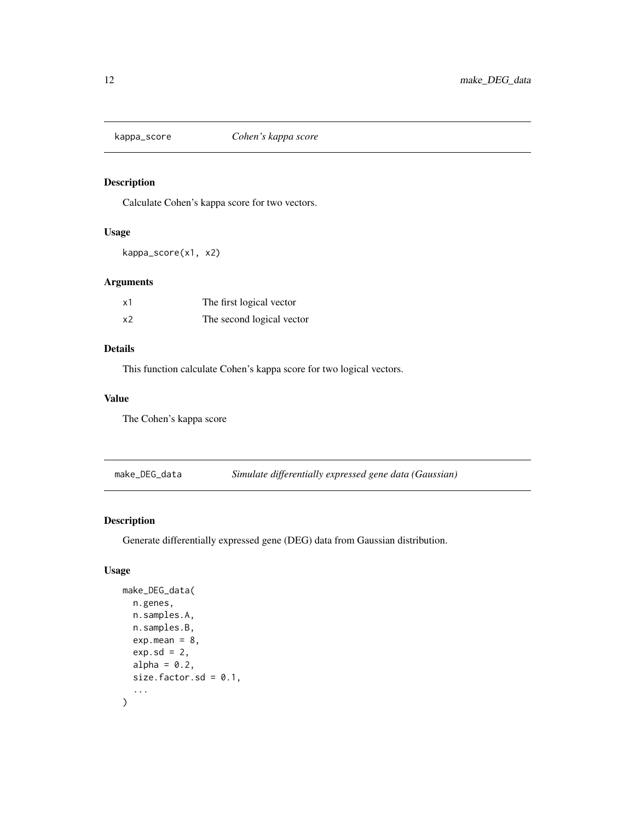<span id="page-11-0"></span>

## Description

Calculate Cohen's kappa score for two vectors.

#### Usage

kappa\_score(x1, x2)

## Arguments

| x1 | The first logical vector  |
|----|---------------------------|
| x2 | The second logical vector |

## Details

This function calculate Cohen's kappa score for two logical vectors.

## Value

The Cohen's kappa score

make\_DEG\_data *Simulate differentially expressed gene data (Gaussian)*

## Description

Generate differentially expressed gene (DEG) data from Gaussian distribution.

## Usage

```
make_DEG_data(
  n.genes,
  n.samples.A,
  n.samples.B,
  exp.macan = 8,
  exp.sd = 2,
  alpha = 0.2,
  size.factor.sd = 0.1,
  ...
\mathcal{L}
```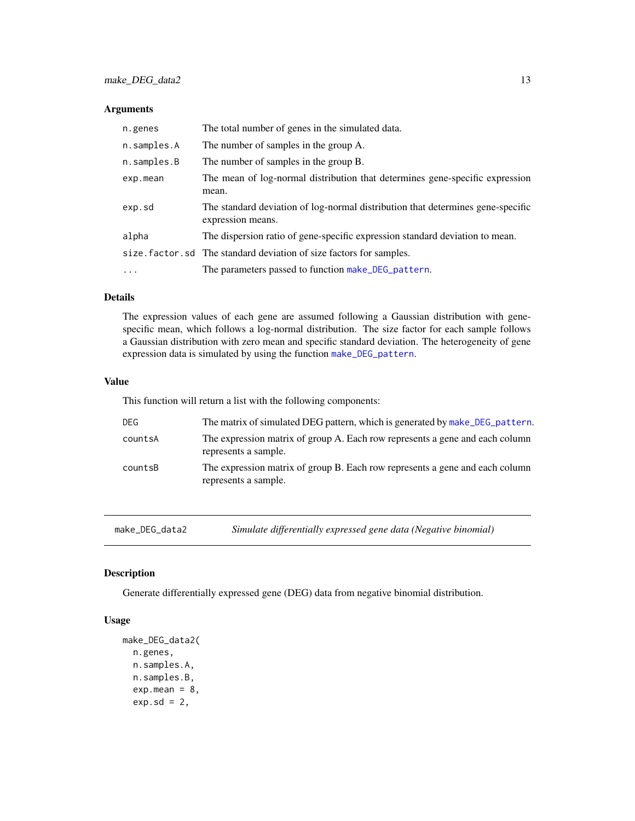#### <span id="page-12-0"></span>Arguments

| n.genes     | The total number of genes in the simulated data.                                                     |
|-------------|------------------------------------------------------------------------------------------------------|
| n.samples.A | The number of samples in the group A.                                                                |
| n.samples.B | The number of samples in the group B.                                                                |
| exp.mean    | The mean of log-normal distribution that determines gene-specific expression<br>mean.                |
| exp.sd      | The standard deviation of log-normal distribution that determines gene-specific<br>expression means. |
| alpha       | The dispersion ratio of gene-specific expression standard deviation to mean.                         |
|             | size. factor. sd The standard deviation of size factors for samples.                                 |
| $\cdots$    | The parameters passed to function make_DEG_pattern.                                                  |

## Details

The expression values of each gene are assumed following a Gaussian distribution with genespecific mean, which follows a log-normal distribution. The size factor for each sample follows a Gaussian distribution with zero mean and specific standard deviation. The heterogeneity of gene expression data is simulated by using the function [make\\_DEG\\_pattern](#page-13-1).

#### Value

This function will return a list with the following components:

| DEG.    | The matrix of simulated DEG pattern, which is generated by make DEG pattern.                         |
|---------|------------------------------------------------------------------------------------------------------|
| countsA | The expression matrix of group A. Each row represents a gene and each column<br>represents a sample. |
| countsB | The expression matrix of group B. Each row represents a gene and each column<br>represents a sample. |

make\_DEG\_data2 *Simulate differentially expressed gene data (Negative binomial)*

#### Description

Generate differentially expressed gene (DEG) data from negative binomial distribution.

#### Usage

```
make_DEG_data2(
 n.genes,
 n.samples.A,
  n.samples.B,
  exp.macan = 8,exp.sd = 2,
```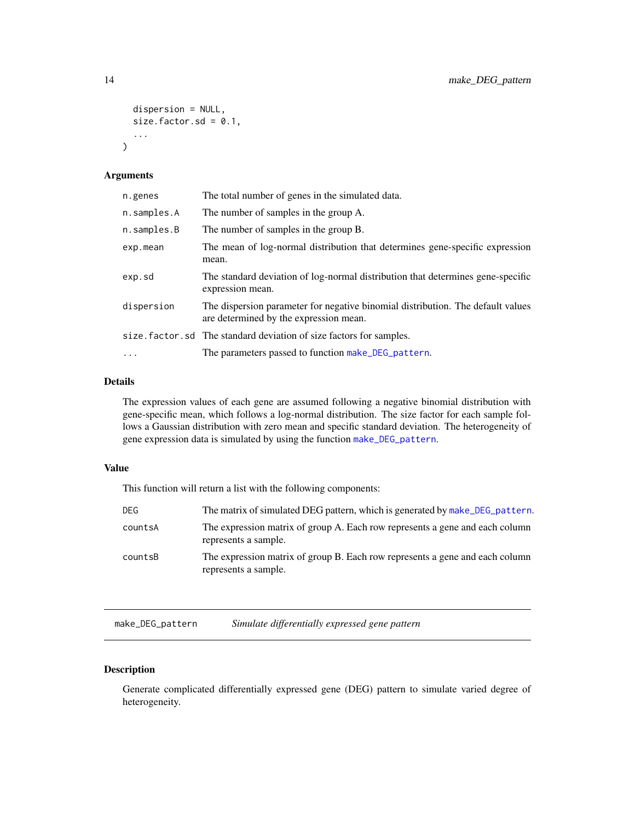```
dispersion = NULL,
  size.factor.sd = 0.1,
  ...
\mathcal{L}
```
#### Arguments

| n.genes     | The total number of genes in the simulated data.                                                                          |
|-------------|---------------------------------------------------------------------------------------------------------------------------|
| n.samples.A | The number of samples in the group A.                                                                                     |
| n.samples.B | The number of samples in the group B.                                                                                     |
| exp.mean    | The mean of log-normal distribution that determines gene-specific expression<br>mean.                                     |
| exp.sd      | The standard deviation of log-normal distribution that determines gene-specific<br>expression mean.                       |
| dispersion  | The dispersion parameter for negative binomial distribution. The default values<br>are determined by the expression mean. |
|             | size. factor. sd The standard deviation of size factors for samples.                                                      |
| $\cdots$    | The parameters passed to function make_DEG_pattern.                                                                       |

## Details

The expression values of each gene are assumed following a negative binomial distribution with gene-specific mean, which follows a log-normal distribution. The size factor for each sample follows a Gaussian distribution with zero mean and specific standard deviation. The heterogeneity of gene expression data is simulated by using the function [make\\_DEG\\_pattern](#page-13-1).

### Value

This function will return a list with the following components:

| DEG     | The matrix of simulated DEG pattern, which is generated by make DEG pattern.                         |
|---------|------------------------------------------------------------------------------------------------------|
| countsA | The expression matrix of group A. Each row represents a gene and each column<br>represents a sample. |
| countsB | The expression matrix of group B. Each row represents a gene and each column<br>represents a sample. |

<span id="page-13-1"></span>make\_DEG\_pattern *Simulate differentially expressed gene pattern*

## Description

Generate complicated differentially expressed gene (DEG) pattern to simulate varied degree of heterogeneity.

<span id="page-13-0"></span>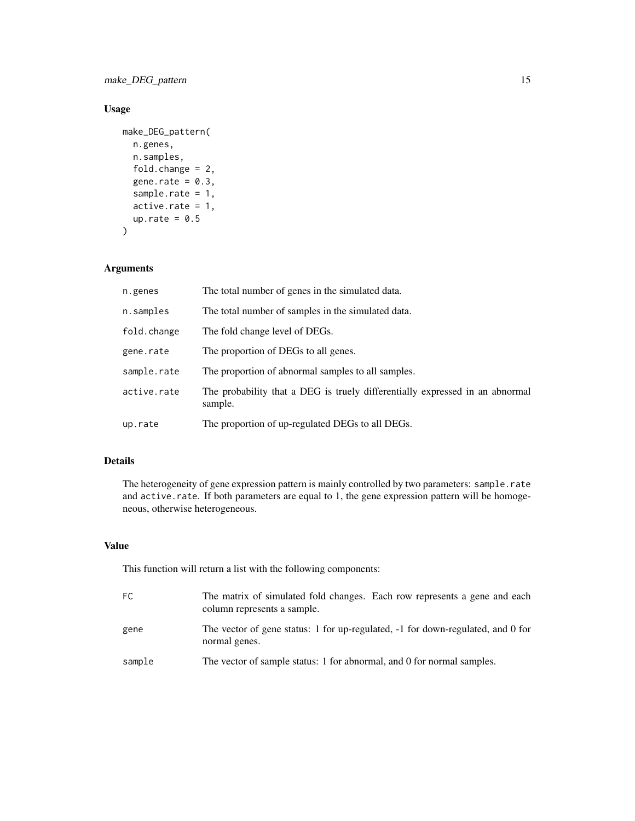make\_DEG\_pattern 15

## Usage

```
make_DEG_pattern(
  n.genes,
  n.samples,
  fold.change = 2,
  gene.rate = 0.3,
  sample.rate = 1,
  active rate = 1,
  up.rate = 0.5\mathcal{L}
```
## Arguments

| n.genes     | The total number of genes in the simulated data.                                        |
|-------------|-----------------------------------------------------------------------------------------|
| n.samples   | The total number of samples in the simulated data.                                      |
| fold.change | The fold change level of DEGs.                                                          |
| gene.rate   | The proportion of DEGs to all genes.                                                    |
| sample.rate | The proportion of abnormal samples to all samples.                                      |
| active.rate | The probability that a DEG is truely differentially expressed in an abnormal<br>sample. |
| up.rate     | The proportion of up-regulated DEGs to all DEGs.                                        |

## Details

The heterogeneity of gene expression pattern is mainly controlled by two parameters: sample.rate and active.rate. If both parameters are equal to 1, the gene expression pattern will be homogeneous, otherwise heterogeneous.

## Value

| FC.    | The matrix of simulated fold changes. Each row represents a gene and each<br>column represents a sample. |
|--------|----------------------------------------------------------------------------------------------------------|
| gene   | The vector of gene status: 1 for up-regulated, -1 for down-regulated, and 0 for<br>normal genes.         |
| sample | The vector of sample status: 1 for abnormal, and 0 for normal samples.                                   |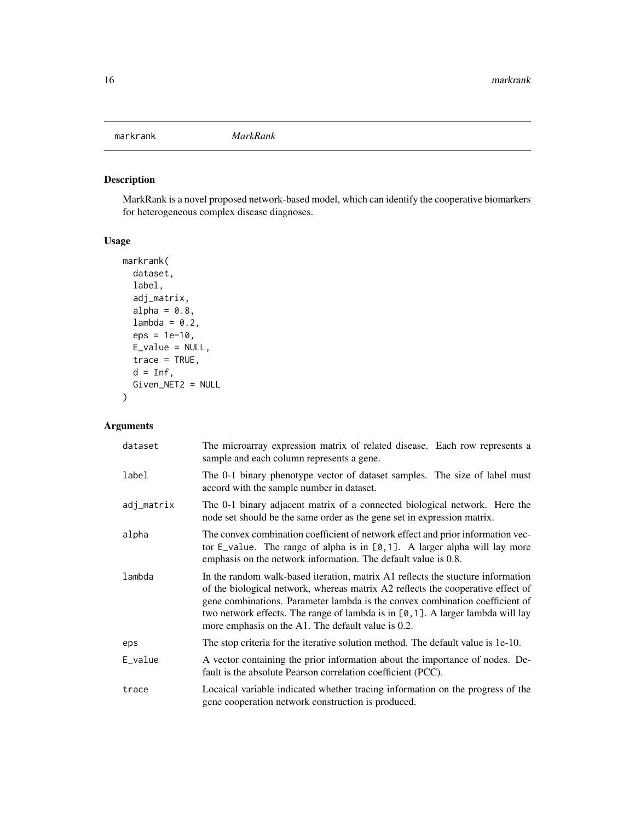<span id="page-15-1"></span><span id="page-15-0"></span>markrank *MarkRank*

## Description

MarkRank is a novel proposed network-based model, which can identify the cooperative biomarkers for heterogeneous complex disease diagnoses.

## Usage

```
markrank(
 dataset,
  label,
 adj_matrix,
 alpha = 0.8,
  lambda = 0.2,
  eps = 1e-10,E_value = NULL,
  trace = TRUE,d = Inf,Given_NET2 = NULL
)
```
## Arguments

| dataset    | The microarray expression matrix of related disease. Each row represents a<br>sample and each column represents a gene.                                                                                                                                                                                                                                                                        |
|------------|------------------------------------------------------------------------------------------------------------------------------------------------------------------------------------------------------------------------------------------------------------------------------------------------------------------------------------------------------------------------------------------------|
| label      | The 0-1 binary phenotype vector of dataset samples. The size of label must<br>accord with the sample number in dataset.                                                                                                                                                                                                                                                                        |
| adj_matrix | The 0-1 binary adjacent matrix of a connected biological network. Here the<br>node set should be the same order as the gene set in expression matrix.                                                                                                                                                                                                                                          |
| alpha      | The convex combination coefficient of network effect and prior information vec-<br>tor $E_{\text{value}}$ . The range of alpha is in $[0,1]$ . A larger alpha will lay more<br>emphasis on the network information. The default value is 0.8.                                                                                                                                                  |
| lambda     | In the random walk-based iteration, matrix A1 reflects the stucture information<br>of the biological network, whereas matrix A2 reflects the cooperative effect of<br>gene combinations. Parameter lambda is the convex combination coefficient of<br>two network effects. The range of lambda is in $[0, 1]$ . A larger lambda will lay<br>more emphasis on the A1. The default value is 0.2. |
| eps        | The stop criteria for the iterative solution method. The default value is 1e-10.                                                                                                                                                                                                                                                                                                               |
| E_value    | A vector containing the prior information about the importance of nodes. De-<br>fault is the absolute Pearson correlation coefficient (PCC).                                                                                                                                                                                                                                                   |
| trace      | Locaical variable indicated whether tracing information on the progress of the<br>gene cooperation network construction is produced.                                                                                                                                                                                                                                                           |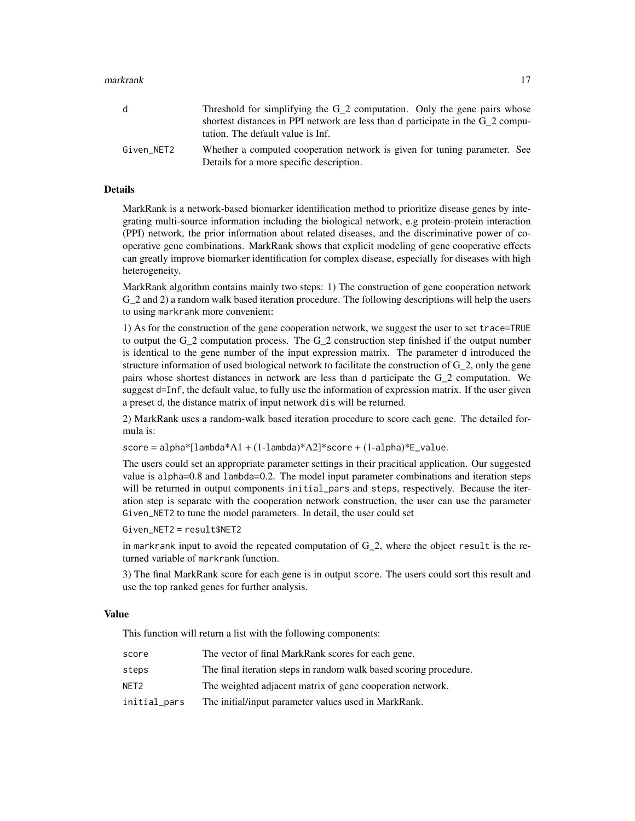#### markrank 17

| d          | Threshold for simplifying the $G_2$ computation. Only the gene pairs whose<br>shortest distances in PPI network are less than d participate in the G 2 compu-<br>tation. The default value is Inf. |
|------------|----------------------------------------------------------------------------------------------------------------------------------------------------------------------------------------------------|
| Given NET2 | Whether a computed cooperation network is given for tuning parameter. See<br>Details for a more specific description.                                                                              |

## Details

MarkRank is a network-based biomarker identification method to prioritize disease genes by integrating multi-source information including the biological network, e.g protein-protein interaction (PPI) network, the prior information about related diseases, and the discriminative power of cooperative gene combinations. MarkRank shows that explicit modeling of gene cooperative effects can greatly improve biomarker identification for complex disease, especially for diseases with high heterogeneity.

MarkRank algorithm contains mainly two steps: 1) The construction of gene cooperation network G\_2 and 2) a random walk based iteration procedure. The following descriptions will help the users to using markrank more convenient:

1) As for the construction of the gene cooperation network, we suggest the user to set trace=TRUE to output the  $G_2$  computation process. The  $G_2$  construction step finished if the output number is identical to the gene number of the input expression matrix. The parameter d introduced the structure information of used biological network to facilitate the construction of G\_2, only the gene pairs whose shortest distances in network are less than d participate the G\_2 computation. We suggest d=Inf, the default value, to fully use the information of expression matrix. If the user given a preset d, the distance matrix of input network dis will be returned.

2) MarkRank uses a random-walk based iteration procedure to score each gene. The detailed formula is:

 $score = alpha*[landa*A1 + (1-lambda)*A2]*score + (1-alpha)*E_value.$ 

The users could set an appropriate parameter settings in their pracitical application. Our suggested value is alpha=0.8 and lambda=0.2. The model input parameter combinations and iteration steps will be returned in output components initial\_pars and steps, respectively. Because the iteration step is separate with the cooperation network construction, the user can use the parameter Given\_NET2 to tune the model parameters. In detail, the user could set

Given\_NET2 = result\$NET2

in markrank input to avoid the repeated computation of  $G_2$ , where the object result is the returned variable of markrank function.

3) The final MarkRank score for each gene is in output score. The users could sort this result and use the top ranked genes for further analysis.

#### Value

| score        | The vector of final MarkRank scores for each gene.                |
|--------------|-------------------------------------------------------------------|
| steps        | The final iteration steps in random walk based scoring procedure. |
| NFT2         | The weighted adjacent matrix of gene cooperation network.         |
| initial_pars | The initial/input parameter values used in MarkRank.              |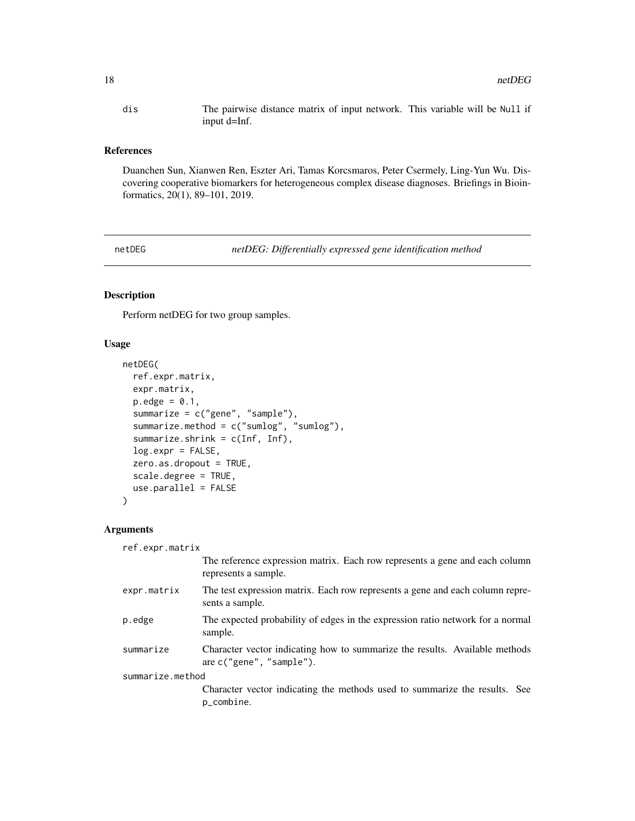<span id="page-17-0"></span>dis The pairwise distance matrix of input network. This variable will be Null if input d=Inf.

#### References

Duanchen Sun, Xianwen Ren, Eszter Ari, Tamas Korcsmaros, Peter Csermely, Ling-Yun Wu. Discovering cooperative biomarkers for heterogeneous complex disease diagnoses. Briefings in Bioinformatics, 20(1), 89–101, 2019.

<span id="page-17-1"></span>netDEG *netDEG: Differentially expressed gene identification method*

#### Description

Perform netDEG for two group samples.

#### Usage

```
netDEG(
  ref.expr.matrix,
  expr.matrix,
  p.edge = 0.1,
  summarize = c("gene", "sample"),
  summarize.method = c("sumlog", "sumlog"),
  summarize.shrink = c(Inf, Inf),
  log.expr = FALSE,
  zero.as.dropout = TRUE,
  scale.degree = TRUE,
  use.parallel = FALSE
)
```
## Arguments

ref.expr.matrix

| The reference expression matrix. Each row represents a gene and each column<br>represents a sample.        |
|------------------------------------------------------------------------------------------------------------|
| The test expression matrix. Each row represents a gene and each column repre-<br>sents a sample.           |
| The expected probability of edges in the expression ratio network for a normal<br>sample.                  |
| Character vector indicating how to summarize the results. Available methods<br>are $c$ ("gene", "sample"). |
| summarize.method                                                                                           |
| Character vector indicating the methods used to summarize the results. See<br>p_combine.                   |
|                                                                                                            |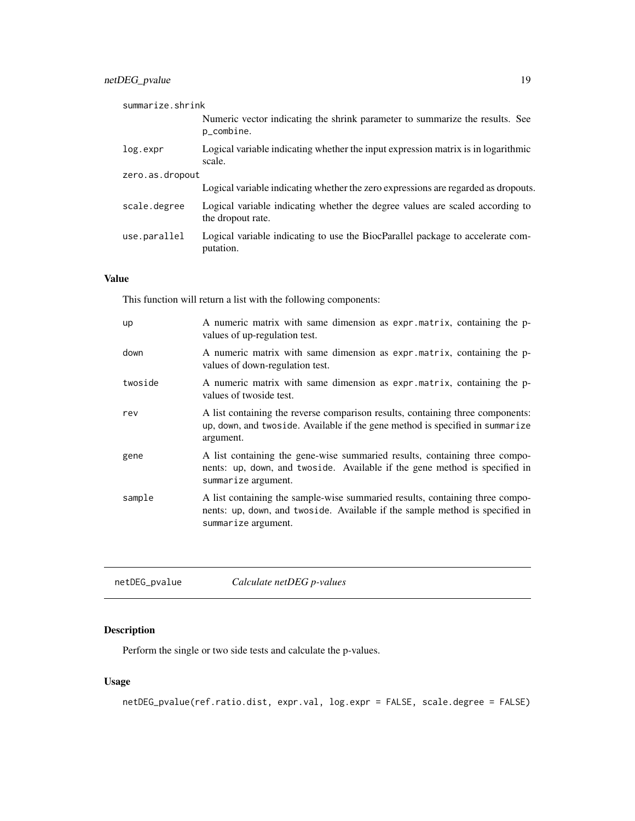<span id="page-18-0"></span>

| summarize.shrink |                                                                                                    |  |
|------------------|----------------------------------------------------------------------------------------------------|--|
|                  | Numeric vector indicating the shrink parameter to summarize the results. See<br>p_combine.         |  |
| log.expr         | Logical variable indicating whether the input expression matrix is in logarithmic<br>scale.        |  |
| zero.as.dropout  |                                                                                                    |  |
|                  | Logical variable indicating whether the zero expressions are regarded as dropouts.                 |  |
| scale.degree     | Logical variable indicating whether the degree values are scaled according to<br>the dropout rate. |  |
| use.parallel     | Logical variable indicating to use the BiocParallel package to accelerate com-<br>putation.        |  |

## Value

This function will return a list with the following components:

| up      | A numeric matrix with same dimension as expr.matrix, containing the p-<br>values of up-regulation test.                                                                              |
|---------|--------------------------------------------------------------------------------------------------------------------------------------------------------------------------------------|
| down    | A numeric matrix with same dimension as expr.matrix, containing the p-<br>values of down-regulation test.                                                                            |
| twoside | A numeric matrix with same dimension as expr.matrix, containing the p-<br>values of twoside test.                                                                                    |
| rev     | A list containing the reverse comparison results, containing three components:<br>up, down, and twoside. Available if the gene method is specified in summarize<br>argument.         |
| gene    | A list containing the gene-wise summaried results, containing three compo-<br>nents: up, down, and two side. Available if the gene method is specified in<br>summarize argument.     |
| sample  | A list containing the sample-wise summaried results, containing three compo-<br>nents: up, down, and two side. Available if the sample method is specified in<br>summarize argument. |

| netDEG_pvalue | Calculate netDEG p-values |  |
|---------------|---------------------------|--|
|---------------|---------------------------|--|

## Description

Perform the single or two side tests and calculate the p-values.

## Usage

```
netDEG_pvalue(ref.ratio.dist, expr.val, log.expr = FALSE, scale.degree = FALSE)
```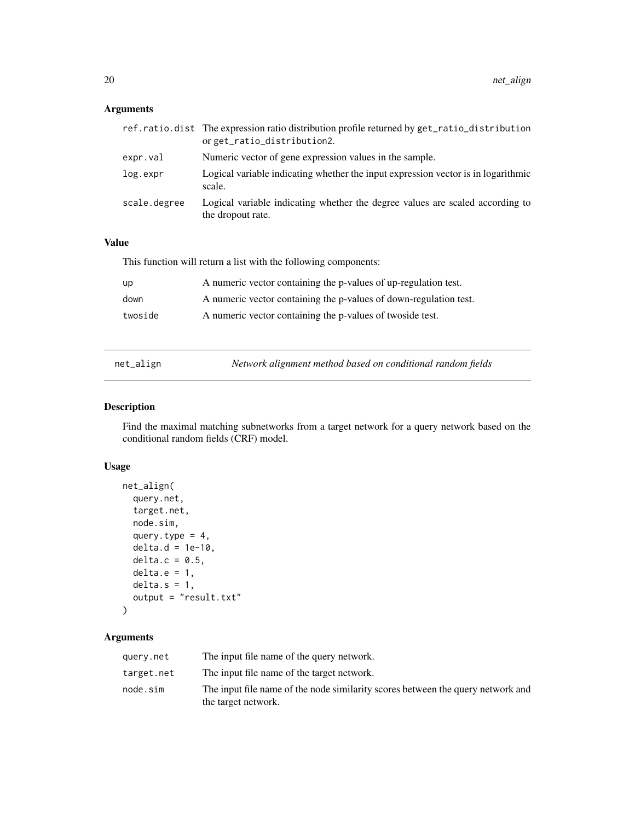## <span id="page-19-0"></span>Arguments

|              | ref.ratio.dist The expression ratio distribution profile returned by get_ratio_distribution<br>orget_ratio_distribution2. |
|--------------|---------------------------------------------------------------------------------------------------------------------------|
| expr.val     | Numeric vector of gene expression values in the sample.                                                                   |
| log.expr     | Logical variable indicating whether the input expression vector is in logarithmic<br>scale.                               |
| scale.degree | Logical variable indicating whether the degree values are scaled according to<br>the dropout rate.                        |

## Value

This function will return a list with the following components:

| up      | A numeric vector containing the p-values of up-regulation test.   |
|---------|-------------------------------------------------------------------|
| down    | A numeric vector containing the p-values of down-regulation test. |
| twoside | A numeric vector containing the p-values of two side test.        |

<span id="page-19-1"></span>

| net_align | Network alignment method based on conditional random fields |
|-----------|-------------------------------------------------------------|
|           |                                                             |

## Description

Find the maximal matching subnetworks from a target network for a query network based on the conditional random fields (CRF) model.

## Usage

```
net_align(
 query.net,
  target.net,
 node.sim,
 query.type = 4,
 delta.d = 1e-10,delta.c = 0.5,
 delta.e = 1,delta.s = 1,
 output = "result.txt"
)
```
## Arguments

| query.net  | The input file name of the query network.                                                              |
|------------|--------------------------------------------------------------------------------------------------------|
| target.net | The input file name of the target network.                                                             |
| node.sim   | The input file name of the node similarity scores between the query network and<br>the target network. |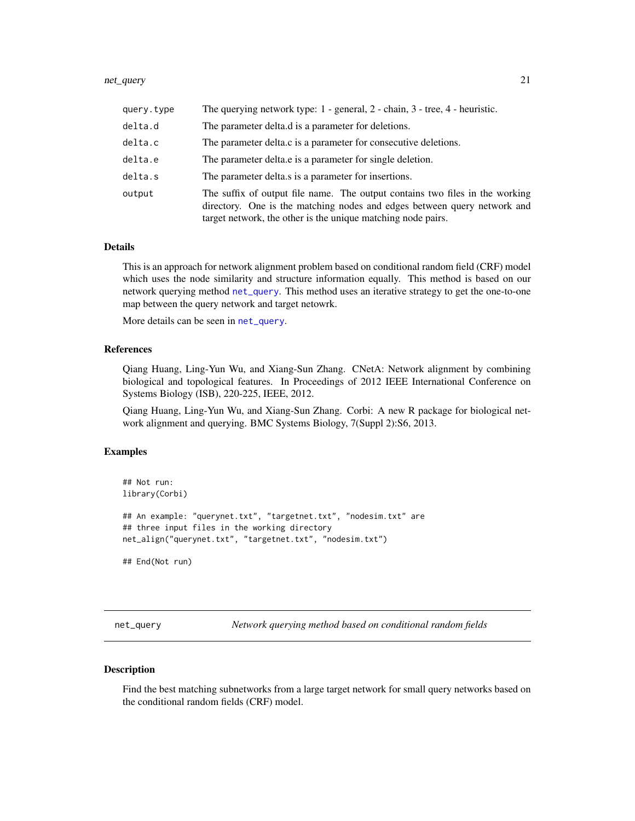#### <span id="page-20-0"></span>net\_query 21

| query.type | The querying network type: $1$ - general, $2$ - chain, $3$ - tree, $4$ - heuristic.                                                                                                                                      |
|------------|--------------------------------------------------------------------------------------------------------------------------------------------------------------------------------------------------------------------------|
| delta.d    | The parameter delta.d is a parameter for deletions.                                                                                                                                                                      |
| delta.c    | The parameter delta.c is a parameter for consecutive deletions.                                                                                                                                                          |
| delta.e    | The parameter deltate is a parameter for single deletion.                                                                                                                                                                |
| delta.s    | The parameter deltals is a parameter for insertions.                                                                                                                                                                     |
| output     | The suffix of output file name. The output contains two files in the working<br>directory. One is the matching nodes and edges between query network and<br>target network, the other is the unique matching node pairs. |

#### Details

This is an approach for network alignment problem based on conditional random field (CRF) model which uses the node similarity and structure information equally. This method is based on our network querying method [net\\_query](#page-20-1). This method uses an iterative strategy to get the one-to-one map between the query network and target netowrk.

More details can be seen in [net\\_query](#page-20-1).

#### References

Qiang Huang, Ling-Yun Wu, and Xiang-Sun Zhang. CNetA: Network alignment by combining biological and topological features. In Proceedings of 2012 IEEE International Conference on Systems Biology (ISB), 220-225, IEEE, 2012.

Qiang Huang, Ling-Yun Wu, and Xiang-Sun Zhang. Corbi: A new R package for biological network alignment and querying. BMC Systems Biology, 7(Suppl 2):S6, 2013.

#### Examples

```
## Not run:
library(Corbi)
## An example: "querynet.txt", "targetnet.txt", "nodesim.txt" are
## three input files in the working directory
net_align("querynet.txt", "targetnet.txt", "nodesim.txt")
## End(Not run)
```
<span id="page-20-1"></span>net\_query *Network querying method based on conditional random fields*

#### <span id="page-20-2"></span>Description

Find the best matching subnetworks from a large target network for small query networks based on the conditional random fields (CRF) model.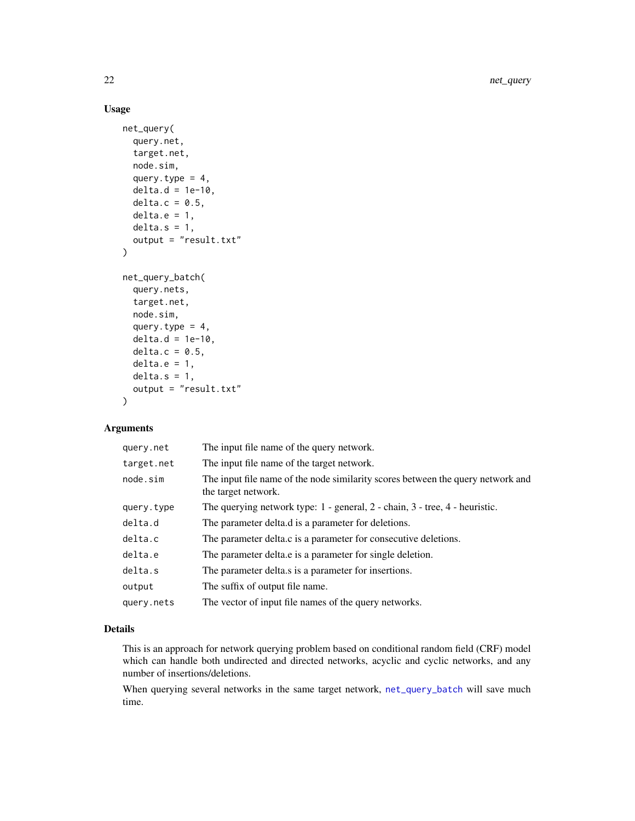## Usage

```
net_query(
  query.net,
  target.net,
  node.sim,
  query.type = 4,
  delta.d = 1e-10,delta.c = 0.5,
  delta.e = 1,
  delta.s = 1,output = "result.txt"
)
net_query_batch(
  query.nets,
  target.net,
  node.sim,
  query.type = 4,
  delta.d = 1e-10,
  delta.c = 0.5,
  delta.e = 1,
  delta.s = 1,output = "result.txt"
)
```
## Arguments

| query.net  | The input file name of the query network.                                                              |
|------------|--------------------------------------------------------------------------------------------------------|
| target.net | The input file name of the target network.                                                             |
| node.sim   | The input file name of the node similarity scores between the query network and<br>the target network. |
| query.type | The querying network type: 1 - general, 2 - chain, 3 - tree, 4 - heuristic.                            |
| delta.d    | The parameter delta.d is a parameter for deletions.                                                    |
| delta.c    | The parameter delta.c is a parameter for consecutive deletions.                                        |
| delta.e    | The parameter delta e is a parameter for single deletion.                                              |
| delta.s    | The parameter delta is a parameter for insertions.                                                     |
| output     | The suffix of output file name.                                                                        |
| query.nets | The vector of input file names of the query networks.                                                  |

#### Details

This is an approach for network querying problem based on conditional random field (CRF) model which can handle both undirected and directed networks, acyclic and cyclic networks, and any number of insertions/deletions.

When querying several networks in the same target network, [net\\_query\\_batch](#page-20-2) will save much time.

<span id="page-21-0"></span>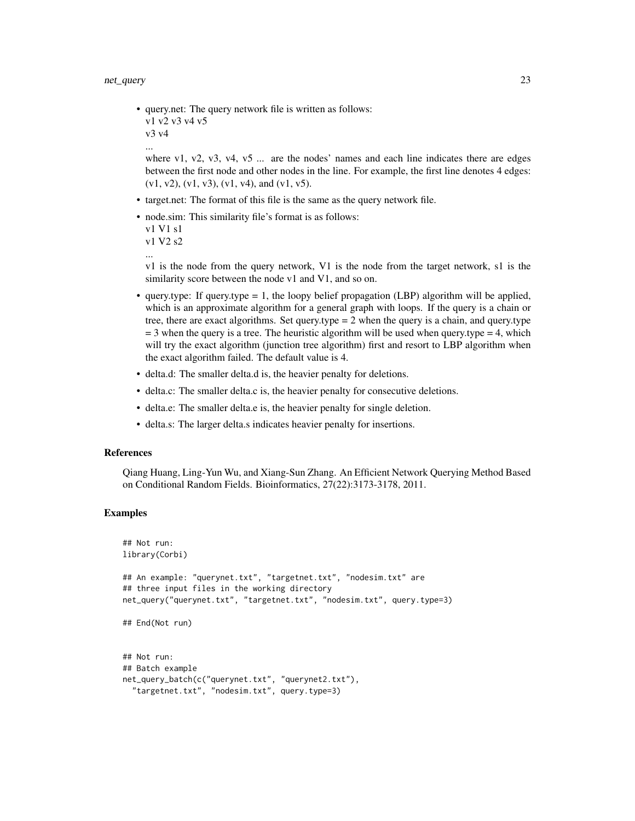#### net\_query 23

• query.net: The query network file is written as follows: v1 v2 v3 v4 v5 v3 v4 ...

where v1, v2, v3, v4, v5  $\ldots$  are the nodes' names and each line indicates there are edges between the first node and other nodes in the line. For example, the first line denotes 4 edges:  $(v1, v2), (v1, v3), (v1, v4),$  and  $(v1, v5)$ .

- target.net: The format of this file is the same as the query network file.
- node.sim: This similarity file's format is as follows:

```
v1 V1 s1
v1 V2 s2
```
v1 is the node from the query network, V1 is the node from the target network, s1 is the similarity score between the node v1 and V1, and so on.

- query.type: If query.type  $= 1$ , the loopy belief propagation (LBP) algorithm will be applied, which is an approximate algorithm for a general graph with loops. If the query is a chain or tree, there are exact algorithms. Set query.type  $= 2$  when the query is a chain, and query.type  $=$  3 when the query is a tree. The heuristic algorithm will be used when query.type  $=$  4, which will try the exact algorithm (junction tree algorithm) first and resort to LBP algorithm when the exact algorithm failed. The default value is 4.
- delta.d: The smaller delta.d is, the heavier penalty for deletions.
- delta.c: The smaller delta.c is, the heavier penalty for consecutive deletions.
- delta.e: The smaller delta.e is, the heavier penalty for single deletion.
- delta.s: The larger delta.s indicates heavier penalty for insertions.

#### References

Qiang Huang, Ling-Yun Wu, and Xiang-Sun Zhang. An Efficient Network Querying Method Based on Conditional Random Fields. Bioinformatics, 27(22):3173-3178, 2011.

## Examples

```
## Not run:
library(Corbi)
## An example: "querynet.txt", "targetnet.txt", "nodesim.txt" are
## three input files in the working directory
net_query("querynet.txt", "targetnet.txt", "nodesim.txt", query.type=3)
## End(Not run)
## Not run:
## Batch example
net_query_batch(c("querynet.txt", "querynet2.txt"),
  "targetnet.txt", "nodesim.txt", query.type=3)
```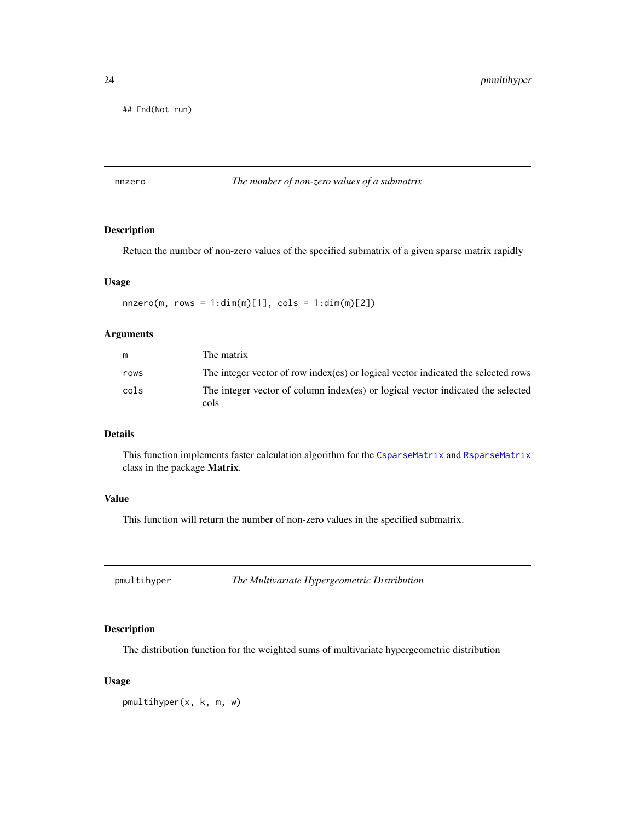<span id="page-23-0"></span>## End(Not run)

## nnzero *The number of non-zero values of a submatrix*

## Description

Retuen the number of non-zero values of the specified submatrix of a given sparse matrix rapidly

#### Usage

 $nnzero(m, rows = 1:dim(m)[1], cols = 1:dim(m)[2])$ 

## Arguments

| m    | The matrix                                                                              |
|------|-----------------------------------------------------------------------------------------|
| rows | The integer vector of row index (es) or logical vector indicated the selected rows      |
| cols | The integer vector of column index(es) or logical vector indicated the selected<br>cols |

## Details

This function implements faster calculation algorithm for the [CsparseMatrix](#page-0-0) and [RsparseMatrix](#page-0-0) class in the package Matrix.

#### Value

This function will return the number of non-zero values in the specified submatrix.

pmultihyper *The Multivariate Hypergeometric Distribution*

#### Description

The distribution function for the weighted sums of multivariate hypergeometric distribution

#### Usage

pmultihyper(x, k, m, w)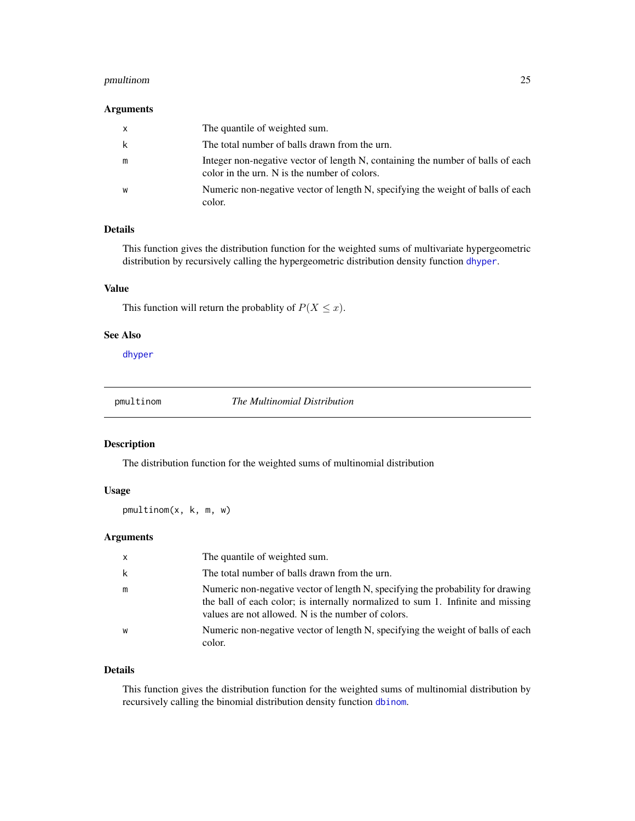## <span id="page-24-0"></span>pmultinom 25

#### Arguments

| X | The quantile of weighted sum.                                                                                                   |
|---|---------------------------------------------------------------------------------------------------------------------------------|
| k | The total number of balls drawn from the urn.                                                                                   |
| m | Integer non-negative vector of length N, containing the number of balls of each<br>color in the urn. N is the number of colors. |
| W | Numeric non-negative vector of length N, specifying the weight of balls of each<br>color.                                       |

## Details

This function gives the distribution function for the weighted sums of multivariate hypergeometric distribution by recursively calling the hypergeometric distribution density function [dhyper](#page-0-0).

#### Value

This function will return the probablity of  $P(X \leq x)$ .

## See Also

[dhyper](#page-0-0)

pmultinom *The Multinomial Distribution*

## Description

The distribution function for the weighted sums of multinomial distribution

## Usage

pmultinom(x, k, m, w)

## Arguments

| X | The quantile of weighted sum.                                                                                                                                                                                            |
|---|--------------------------------------------------------------------------------------------------------------------------------------------------------------------------------------------------------------------------|
| k | The total number of balls drawn from the urn.                                                                                                                                                                            |
| m | Numeric non-negative vector of length N, specifying the probability for drawing<br>the ball of each color; is internally normalized to sum 1. Infinite and missing<br>values are not allowed. N is the number of colors. |
| W | Numeric non-negative vector of length N, specifying the weight of balls of each<br>color.                                                                                                                                |

#### Details

This function gives the distribution function for the weighted sums of multinomial distribution by recursively calling the binomial distribution density function [dbinom](#page-0-0).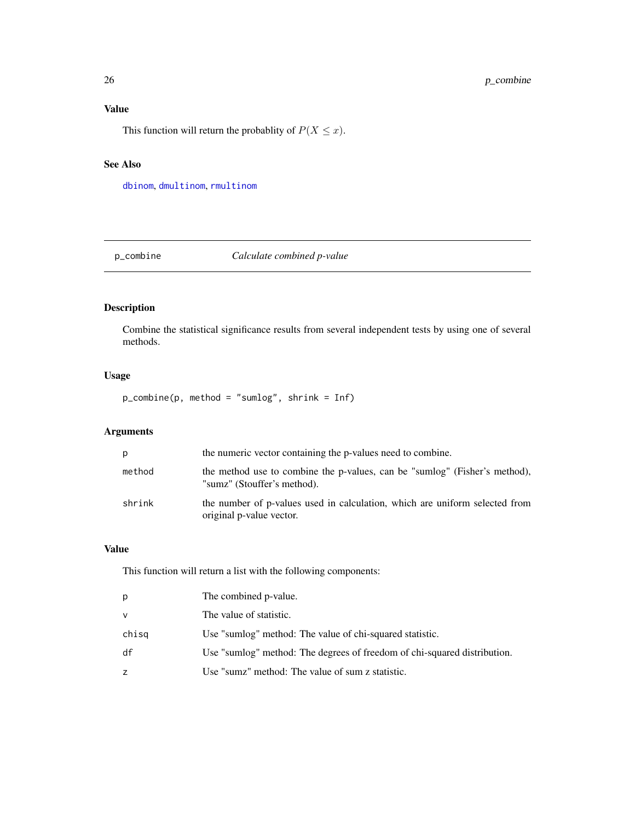## <span id="page-25-0"></span>Value

This function will return the probablity of  $P(X \le x)$ .

#### See Also

[dbinom](#page-0-0), [dmultinom](#page-0-0), [rmultinom](#page-0-0)

p\_combine *Calculate combined p-value*

## Description

Combine the statistical significance results from several independent tests by using one of several methods.

## Usage

p\_combine(p, method = "sumlog", shrink = Inf)

## Arguments

| p      | the numeric vector containing the p-values need to combine.                                               |
|--------|-----------------------------------------------------------------------------------------------------------|
| method | the method use to combine the p-values, can be "sumlog" (Fisher's method),<br>"sumz" (Stouffer's method). |
| shrink | the number of p-values used in calculation, which are uniform selected from<br>original p-value vector.   |

## Value

| р      | The combined p-value.                                                    |
|--------|--------------------------------------------------------------------------|
| $\vee$ | The value of statistic.                                                  |
| chisg  | Use "sumlog" method: The value of chi-squared statistic.                 |
| df     | Use "sumlog" method: The degrees of freedom of chi-squared distribution. |
| Z      | Use "sumz" method: The value of sum z statistic.                         |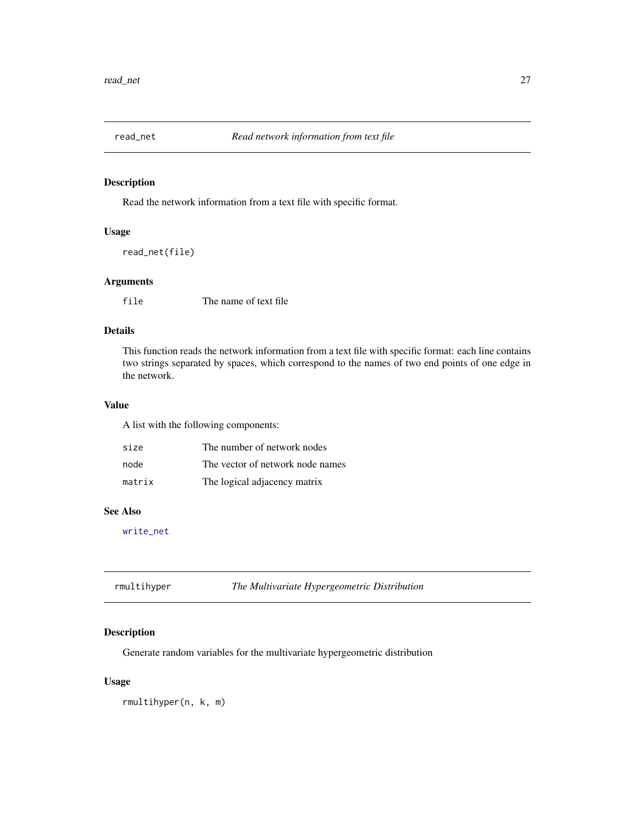<span id="page-26-1"></span><span id="page-26-0"></span>

## Description

Read the network information from a text file with specific format.

#### Usage

read\_net(file)

## Arguments

file The name of text file

## Details

This function reads the network information from a text file with specific format: each line contains two strings separated by spaces, which correspond to the names of two end points of one edge in the network.

## Value

A list with the following components:

| size   | The number of network nodes      |
|--------|----------------------------------|
| node   | The vector of network node names |
| matrix | The logical adjacency matrix     |

## See Also

[write\\_net](#page-31-1)

| rmultihyper | The Multivariate Hypergeometric Distribution |
|-------------|----------------------------------------------|
|-------------|----------------------------------------------|

## Description

Generate random variables for the multivariate hypergeometric distribution

#### Usage

rmultihyper(n, k, m)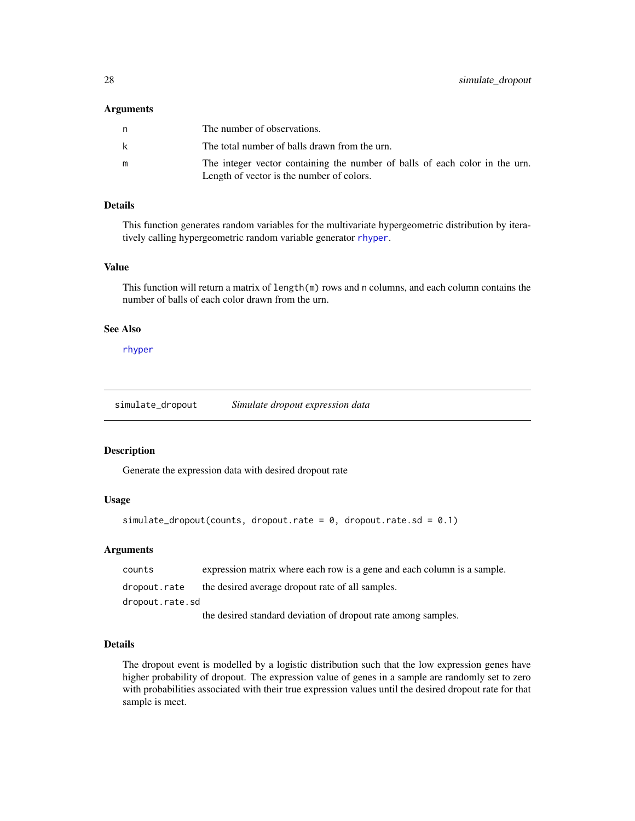#### <span id="page-27-0"></span>Arguments

| n | The number of observations.                                                 |
|---|-----------------------------------------------------------------------------|
| k | The total number of balls drawn from the urn.                               |
| m | The integer vector containing the number of balls of each color in the urn. |
|   | Length of vector is the number of colors.                                   |

### Details

This function generates random variables for the multivariate hypergeometric distribution by iteratively calling hypergeometric random variable generator [rhyper](#page-0-0).

#### Value

This function will return a matrix of length(m) rows and n columns, and each column contains the number of balls of each color drawn from the urn.

## See Also

[rhyper](#page-0-0)

simulate\_dropout *Simulate dropout expression data*

## Description

Generate the expression data with desired dropout rate

#### Usage

```
simulate_dropout(counts, dropout.rate = 0, dropout.rate.sd = 0.1)
```
#### Arguments

| counts          | expression matrix where each row is a gene and each column is a sample. |
|-----------------|-------------------------------------------------------------------------|
| dropout.rate    | the desired average dropout rate of all samples.                        |
| dropout.rate.sd |                                                                         |
|                 | the desired standard deviation of dropout rate among samples.           |

## Details

The dropout event is modelled by a logistic distribution such that the low expression genes have higher probability of dropout. The expression value of genes in a sample are randomly set to zero with probabilities associated with their true expression values until the desired dropout rate for that sample is meet.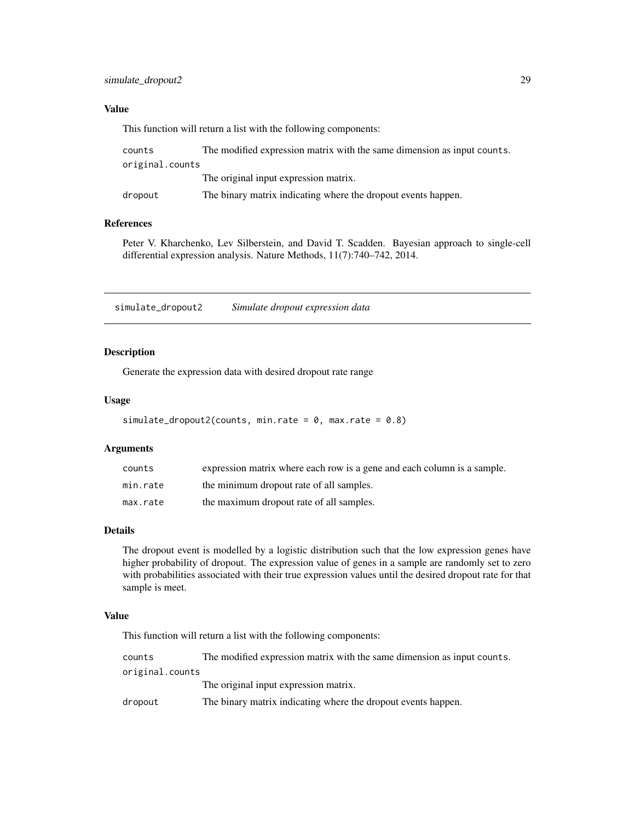### <span id="page-28-0"></span>Value

This function will return a list with the following components:

| counts          | The modified expression matrix with the same dimension as input counts. |
|-----------------|-------------------------------------------------------------------------|
| original.counts |                                                                         |
|                 | The original input expression matrix.                                   |
| dropout         | The binary matrix indicating where the dropout events happen.           |

#### References

Peter V. Kharchenko, Lev Silberstein, and David T. Scadden. Bayesian approach to single-cell differential expression analysis. Nature Methods, 11(7):740–742, 2014.

simulate\_dropout2 *Simulate dropout expression data*

#### Description

Generate the expression data with desired dropout rate range

## Usage

```
simulate_dropout2(counts, min.rate = 0, max.rate = 0.8)
```
#### Arguments

| counts   | expression matrix where each row is a gene and each column is a sample. |
|----------|-------------------------------------------------------------------------|
| min.rate | the minimum dropout rate of all samples.                                |
| max.rate | the maximum dropout rate of all samples.                                |

#### Details

The dropout event is modelled by a logistic distribution such that the low expression genes have higher probability of dropout. The expression value of genes in a sample are randomly set to zero with probabilities associated with their true expression values until the desired dropout rate for that sample is meet.

#### Value

| counts          | The modified expression matrix with the same dimension as input counts. |
|-----------------|-------------------------------------------------------------------------|
| original.counts |                                                                         |
|                 | The original input expression matrix.                                   |
| dropout         | The binary matrix indicating where the dropout events happen.           |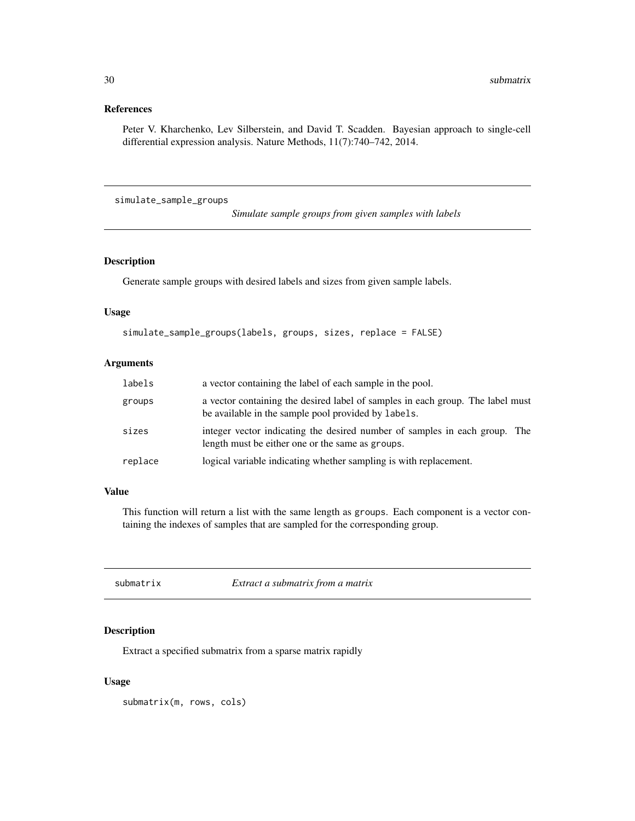## <span id="page-29-0"></span>References

Peter V. Kharchenko, Lev Silberstein, and David T. Scadden. Bayesian approach to single-cell differential expression analysis. Nature Methods, 11(7):740–742, 2014.

simulate\_sample\_groups

*Simulate sample groups from given samples with labels*

#### Description

Generate sample groups with desired labels and sizes from given sample labels.

#### Usage

```
simulate_sample_groups(labels, groups, sizes, replace = FALSE)
```
## Arguments

| labels  | a vector containing the label of each sample in the pool.                                                                             |
|---------|---------------------------------------------------------------------------------------------------------------------------------------|
| groups  | a vector containing the desired label of samples in each group. The label must<br>be available in the sample pool provided by labels. |
| sizes   | integer vector indicating the desired number of samples in each group. The<br>length must be either one or the same as groups.        |
| replace | logical variable indicating whether sampling is with replacement.                                                                     |

#### Value

This function will return a list with the same length as groups. Each component is a vector containing the indexes of samples that are sampled for the corresponding group.

submatrix *Extract a submatrix from a matrix*

## Description

Extract a specified submatrix from a sparse matrix rapidly

#### Usage

submatrix(m, rows, cols)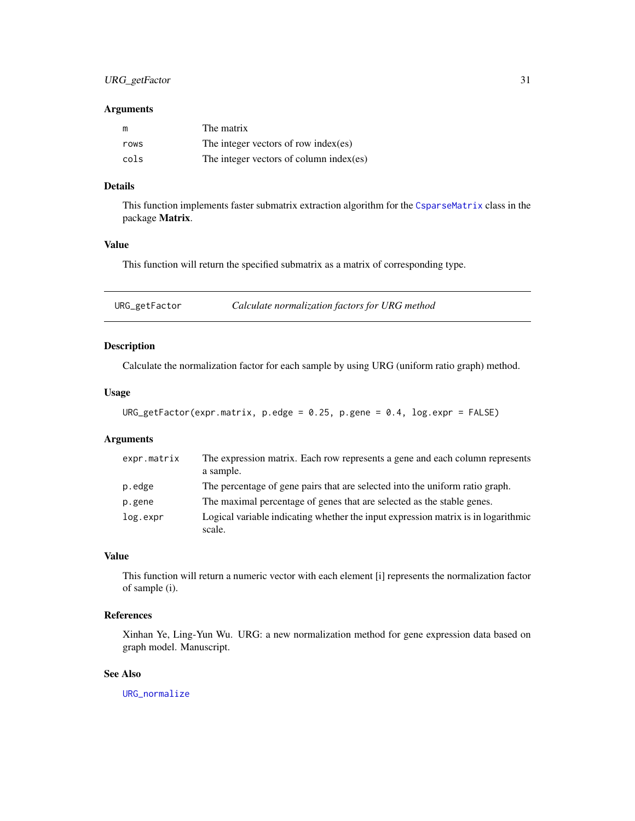### <span id="page-30-0"></span>Arguments

| m    | The matrix                               |
|------|------------------------------------------|
| rows | The integer vectors of row index $(es)$  |
| cols | The integer vectors of column index (es) |

## Details

This function implements faster submatrix extraction algorithm for the [CsparseMatrix](#page-0-0) class in the package Matrix.

## Value

This function will return the specified submatrix as a matrix of corresponding type.

<span id="page-30-1"></span>URG\_getFactor *Calculate normalization factors for URG method*

## Description

Calculate the normalization factor for each sample by using URG (uniform ratio graph) method.

## Usage

```
URG_getFactor(expr.matrix, p.edge = 0.25, p.gene = 0.4, log.expr = FALSE)
```
## Arguments

| expr.matrix | The expression matrix. Each row represents a gene and each column represents<br>a sample.   |
|-------------|---------------------------------------------------------------------------------------------|
| p.edge      | The percentage of gene pairs that are selected into the uniform ratio graph.                |
| p.gene      | The maximal percentage of genes that are selected as the stable genes.                      |
| log.expr    | Logical variable indicating whether the input expression matrix is in logarithmic<br>scale. |

## Value

This function will return a numeric vector with each element [i] represents the normalization factor of sample (i).

## References

Xinhan Ye, Ling-Yun Wu. URG: a new normalization method for gene expression data based on graph model. Manuscript.

## See Also

[URG\\_normalize](#page-31-2)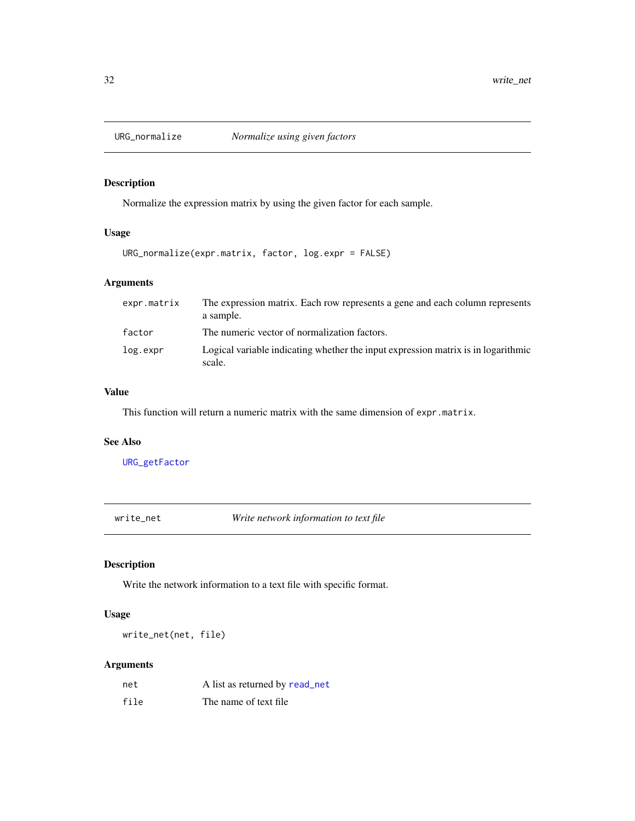<span id="page-31-2"></span><span id="page-31-0"></span>

## Description

Normalize the expression matrix by using the given factor for each sample.

## Usage

URG\_normalize(expr.matrix, factor, log.expr = FALSE)

## Arguments

| expr.matrix | The expression matrix. Each row represents a gene and each column represents<br>a sample.   |
|-------------|---------------------------------------------------------------------------------------------|
| factor      | The numeric vector of normalization factors.                                                |
| log.expr    | Logical variable indicating whether the input expression matrix is in logarithmic<br>scale. |

## Value

This function will return a numeric matrix with the same dimension of expr.matrix.

### See Also

[URG\\_getFactor](#page-30-1)

<span id="page-31-1"></span>write\_net *Write network information to text file*

## Description

Write the network information to a text file with specific format.

## Usage

write\_net(net, file)

## Arguments

| net  | A list as returned by read_net |
|------|--------------------------------|
| file | The name of text file.         |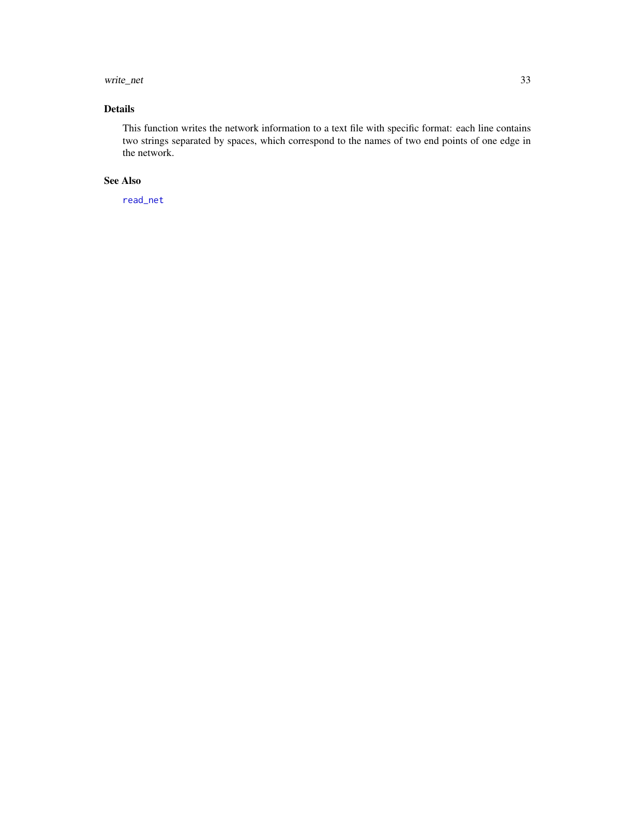#### <span id="page-32-0"></span>write\_net 33

## Details

This function writes the network information to a text file with specific format: each line contains two strings separated by spaces, which correspond to the names of two end points of one edge in the network.

#### See Also

[read\\_net](#page-26-1)